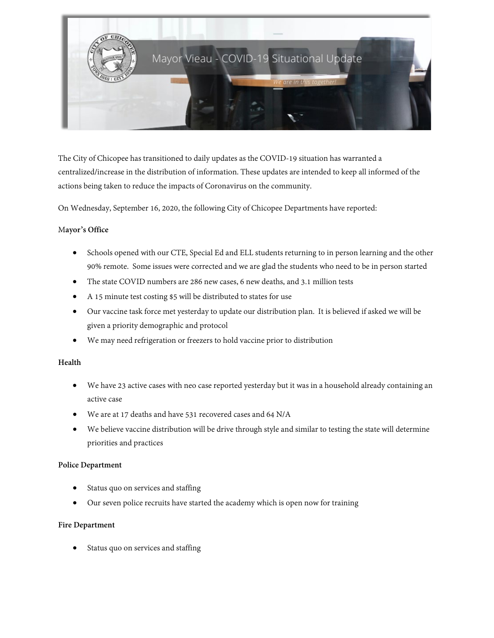

The City of Chicopee has transitioned to daily updates as the COVID-19 situation has warranted a centralized/increase in the distribution of information. These updates are intended to keep all informed of the actions being taken to reduce the impacts of Coronavirus on the community.

On Wednesday, September 16, 2020, the following City of Chicopee Departments have reported:

### M**ayor's Office**

- Schools opened with our CTE, Special Ed and ELL students returning to in person learning and the other 90% remote. Some issues were corrected and we are glad the students who need to be in person started
- The state COVID numbers are 286 new cases, 6 new deaths, and 3.1 million tests
- A 15 minute test costing \$5 will be distributed to states for use
- Our vaccine task force met yesterday to update our distribution plan. It is believed if asked we will be given a priority demographic and protocol
- We may need refrigeration or freezers to hold vaccine prior to distribution

### **Health**

- We have 23 active cases with neo case reported yesterday but it was in a household already containing an active case
- We are at 17 deaths and have 531 recovered cases and 64 N/A
- We believe vaccine distribution will be drive through style and similar to testing the state will determine priorities and practices

### **Police Department**

- Status quo on services and staffing
- Our seven police recruits have started the academy which is open now for training

### **Fire Department**

Status quo on services and staffing